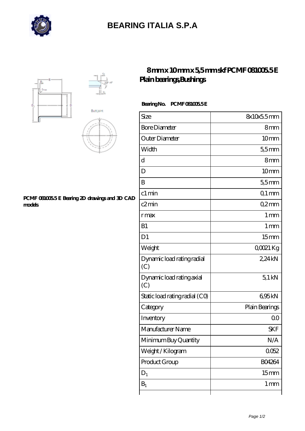

# **[BEARING ITALIA S.P.A](https://m.dianamascarenhas.com)**



#### **[PCMF 081005.5 E Bearing 2D drawings and 3D CAD](https://m.dianamascarenhas.com/pic-64968967.html) [models](https://m.dianamascarenhas.com/pic-64968967.html)**

### **[8 mm x 10 mm x 5,5 mm skf PCMF 081005.5 E](https://m.dianamascarenhas.com/af-64968967-skf-pcmf-081005-5-e-plain-bearings-bushings.html) [Plain bearings,Bushings](https://m.dianamascarenhas.com/af-64968967-skf-pcmf-081005-5-e-plain-bearings-bushings.html)**

### **Bearing No. PCMF 081005.5 E**

| Size                              | 8x10x55mm        |
|-----------------------------------|------------------|
| <b>Bore Diameter</b>              | 8mm              |
| Outer Diameter                    | 10 <sub>mm</sub> |
| Width                             | 55mm             |
| d                                 | 8mm              |
| D                                 | 10mm             |
| B                                 | 55mm             |
| c1 min                            | $Q1$ mm          |
| c2min                             | Q2mm             |
| rmax                              | 1 <sub>mm</sub>  |
| B1                                | 1 <sub>mm</sub>  |
| D <sub>1</sub>                    | 15 <sub>mm</sub> |
| Weight                            | QOO21 Kg         |
| Dynamic load rating radial<br>(C) | 2,24kN           |
| Dynamic load rating axial<br>(C)  | $5.1$ kN         |
| Static load rating radial (CO)    | 695kN            |
| Category                          | Plain Bearings   |
| Inventory                         | 0 <sup>0</sup>   |
| Manufacturer Name                 | <b>SKF</b>       |
| Minimum Buy Quantity              | N/A              |
| Weight / Kilogram                 | 0052             |
| Product Group                     | <b>BO4264</b>    |
| $D_1$                             | 15 <sub>mm</sub> |
| $B_1$                             | 1 <sub>mm</sub>  |
|                                   |                  |